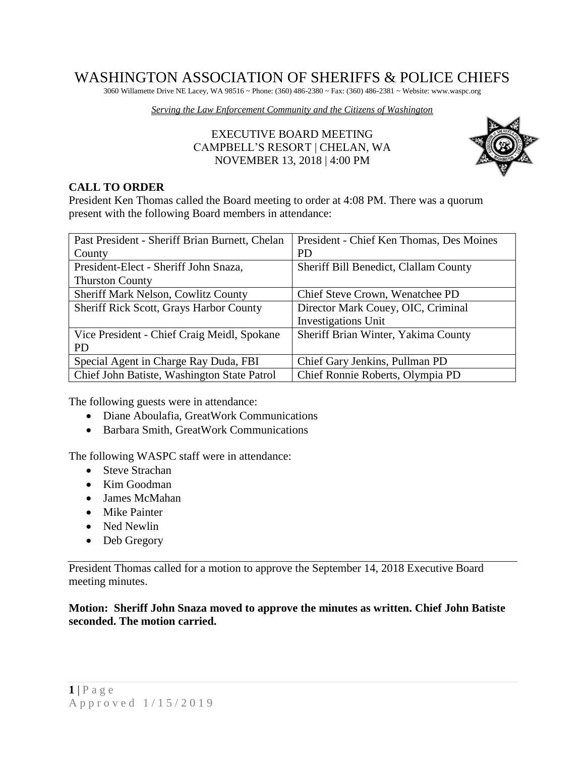# WASHINGTON ASSOCIATION OF SHERIFFS & POLICE CHIEFS

3060 Willamette Drive NE Lacey, WA 98516 ~ Phone: (360) 486-2380 ~ Fax: (360) 486-2381 ~ Website: www.waspc.org

*Serving the Law Enforcement Community and the Citizens of Washington* 

# EXECUTIVE BOARD MEETING CAMPBELL'S RESORT | CHELAN, WA NOVEMBER 13, 2018 | 4:00 PM



# **CALL TO ORDER**

President Ken Thomas called the Board meeting to order at 4:08 PM. There was a quorum present with the following Board members in attendance:

| Past President - Sheriff Brian Burnett, Chelan | President - Chief Ken Thomas, Des Moines |
|------------------------------------------------|------------------------------------------|
| County                                         | <b>PD</b>                                |
| President-Elect - Sheriff John Snaza,          | Sheriff Bill Benedict, Clallam County    |
| <b>Thurston County</b>                         |                                          |
| Sheriff Mark Nelson, Cowlitz County            | Chief Steve Crown, Wenatchee PD          |
| <b>Sheriff Rick Scott, Grays Harbor County</b> | Director Mark Couey, OIC, Criminal       |
|                                                | <b>Investigations Unit</b>               |
| Vice President - Chief Craig Meidl, Spokane    | Sheriff Brian Winter, Yakima County      |
| <b>PD</b>                                      |                                          |
| Special Agent in Charge Ray Duda, FBI          | Chief Gary Jenkins, Pullman PD           |
| Chief John Batiste, Washington State Patrol    | Chief Ronnie Roberts, Olympia PD         |

The following guests were in attendance:

- Diane Aboulafia, GreatWork Communications
- Barbara Smith, GreatWork Communications

The following WASPC staff were in attendance:

- Steve Strachan
- Kim Goodman
- James McMahan
- Mike Painter
- Ned Newlin
- Deb Gregory

President Thomas called for a motion to approve the September 14, 2018 Executive Board meeting minutes.

### **Motion: Sheriff John Snaza moved to approve the minutes as written. Chief John Batiste seconded. The motion carried.**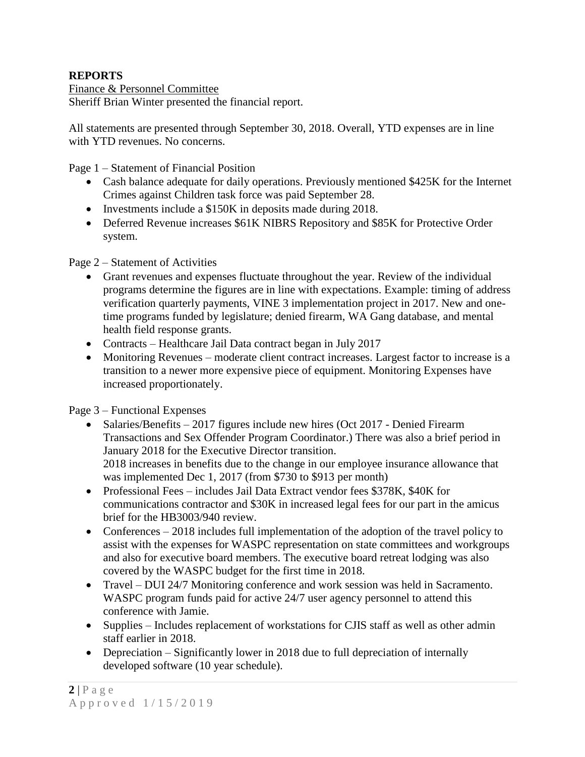# **REPORTS**

Finance & Personnel Committee Sheriff Brian Winter presented the financial report.

All statements are presented through September 30, 2018. Overall, YTD expenses are in line with YTD revenues. No concerns.

Page 1 – Statement of Financial Position

- Cash balance adequate for daily operations. Previously mentioned \$425K for the Internet Crimes against Children task force was paid September 28.
- Investments include a \$150K in deposits made during 2018.
- Deferred Revenue increases \$61K NIBRS Repository and \$85K for Protective Order system.

Page 2 – Statement of Activities

- Grant revenues and expenses fluctuate throughout the year. Review of the individual programs determine the figures are in line with expectations. Example: timing of address verification quarterly payments, VINE 3 implementation project in 2017. New and onetime programs funded by legislature; denied firearm, WA Gang database, and mental health field response grants.
- Contracts Healthcare Jail Data contract began in July 2017
- Monitoring Revenues moderate client contract increases. Largest factor to increase is a transition to a newer more expensive piece of equipment. Monitoring Expenses have increased proportionately.

Page 3 – Functional Expenses

- Salaries/Benefits 2017 figures include new hires (Oct 2017 Denied Firearm Transactions and Sex Offender Program Coordinator.) There was also a brief period in January 2018 for the Executive Director transition. 2018 increases in benefits due to the change in our employee insurance allowance that was implemented Dec 1, 2017 (from \$730 to \$913 per month)
- Professional Fees includes Jail Data Extract vendor fees \$378K, \$40K for communications contractor and \$30K in increased legal fees for our part in the amicus brief for the HB3003/940 review.
- Conferences 2018 includes full implementation of the adoption of the travel policy to assist with the expenses for WASPC representation on state committees and workgroups and also for executive board members. The executive board retreat lodging was also covered by the WASPC budget for the first time in 2018.
- Travel DUI 24/7 Monitoring conference and work session was held in Sacramento. WASPC program funds paid for active 24/7 user agency personnel to attend this conference with Jamie.
- Supplies Includes replacement of workstations for CJIS staff as well as other admin staff earlier in 2018.
- Depreciation Significantly lower in 2018 due to full depreciation of internally developed software (10 year schedule).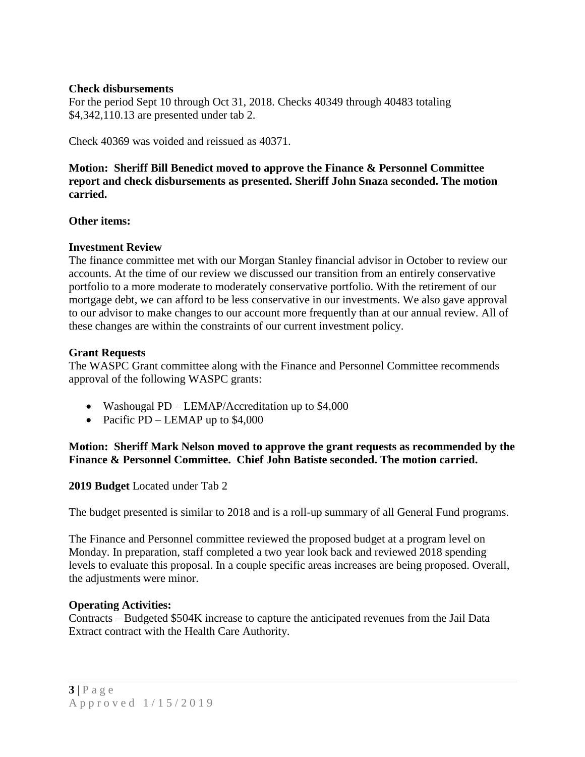# **Check disbursements**

For the period Sept 10 through Oct 31, 2018. Checks 40349 through 40483 totaling \$4,342,110.13 are presented under tab 2.

Check 40369 was voided and reissued as 40371.

**Motion: Sheriff Bill Benedict moved to approve the Finance & Personnel Committee report and check disbursements as presented. Sheriff John Snaza seconded. The motion carried.**

# **Other items:**

# **Investment Review**

The finance committee met with our Morgan Stanley financial advisor in October to review our accounts. At the time of our review we discussed our transition from an entirely conservative portfolio to a more moderate to moderately conservative portfolio. With the retirement of our mortgage debt, we can afford to be less conservative in our investments. We also gave approval to our advisor to make changes to our account more frequently than at our annual review. All of these changes are within the constraints of our current investment policy.

# **Grant Requests**

The WASPC Grant committee along with the Finance and Personnel Committee recommends approval of the following WASPC grants:

- Washougal PD LEMAP/Accreditation up to \$4,000
- Pacific PD LEMAP up to  $$4,000$

# **Motion: Sheriff Mark Nelson moved to approve the grant requests as recommended by the Finance & Personnel Committee. Chief John Batiste seconded. The motion carried.**

### **2019 Budget** Located under Tab 2

The budget presented is similar to 2018 and is a roll-up summary of all General Fund programs.

The Finance and Personnel committee reviewed the proposed budget at a program level on Monday. In preparation, staff completed a two year look back and reviewed 2018 spending levels to evaluate this proposal. In a couple specific areas increases are being proposed. Overall, the adjustments were minor.

### **Operating Activities:**

Contracts – Budgeted \$504K increase to capture the anticipated revenues from the Jail Data Extract contract with the Health Care Authority.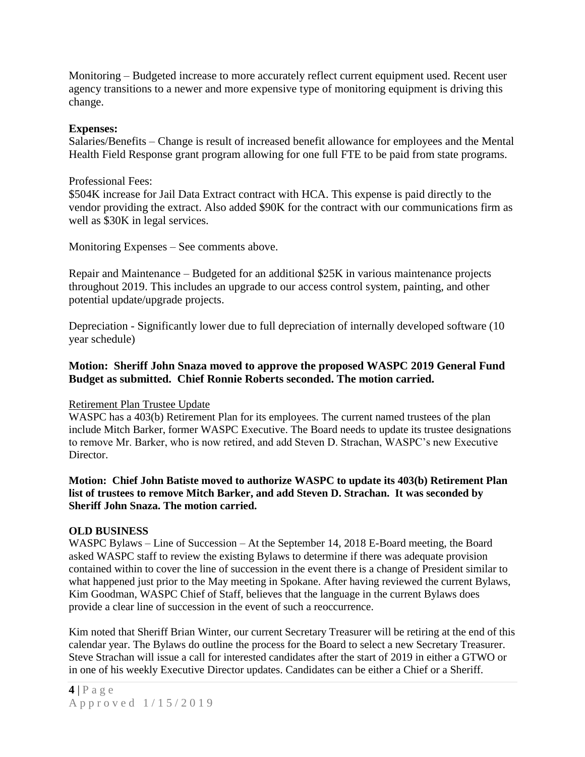Monitoring – Budgeted increase to more accurately reflect current equipment used. Recent user agency transitions to a newer and more expensive type of monitoring equipment is driving this change.

#### **Expenses:**

Salaries/Benefits – Change is result of increased benefit allowance for employees and the Mental Health Field Response grant program allowing for one full FTE to be paid from state programs.

#### Professional Fees:

\$504K increase for Jail Data Extract contract with HCA. This expense is paid directly to the vendor providing the extract. Also added \$90K for the contract with our communications firm as well as \$30K in legal services.

Monitoring Expenses – See comments above.

Repair and Maintenance – Budgeted for an additional \$25K in various maintenance projects throughout 2019. This includes an upgrade to our access control system, painting, and other potential update/upgrade projects.

Depreciation - Significantly lower due to full depreciation of internally developed software (10 year schedule)

# **Motion: Sheriff John Snaza moved to approve the proposed WASPC 2019 General Fund Budget as submitted. Chief Ronnie Roberts seconded. The motion carried.**

### Retirement Plan Trustee Update

WASPC has a 403(b) Retirement Plan for its employees. The current named trustees of the plan include Mitch Barker, former WASPC Executive. The Board needs to update its trustee designations to remove Mr. Barker, who is now retired, and add Steven D. Strachan, WASPC's new Executive Director

### **Motion: Chief John Batiste moved to authorize WASPC to update its 403(b) Retirement Plan list of trustees to remove Mitch Barker, and add Steven D. Strachan. It was seconded by Sheriff John Snaza. The motion carried.**

#### **OLD BUSINESS**

WASPC Bylaws – Line of Succession – At the September 14, 2018 E-Board meeting, the Board asked WASPC staff to review the existing Bylaws to determine if there was adequate provision contained within to cover the line of succession in the event there is a change of President similar to what happened just prior to the May meeting in Spokane. After having reviewed the current Bylaws, Kim Goodman, WASPC Chief of Staff, believes that the language in the current Bylaws does provide a clear line of succession in the event of such a reoccurrence.

Kim noted that Sheriff Brian Winter, our current Secretary Treasurer will be retiring at the end of this calendar year. The Bylaws do outline the process for the Board to select a new Secretary Treasurer. Steve Strachan will issue a call for interested candidates after the start of 2019 in either a GTWO or in one of his weekly Executive Director updates. Candidates can be either a Chief or a Sheriff.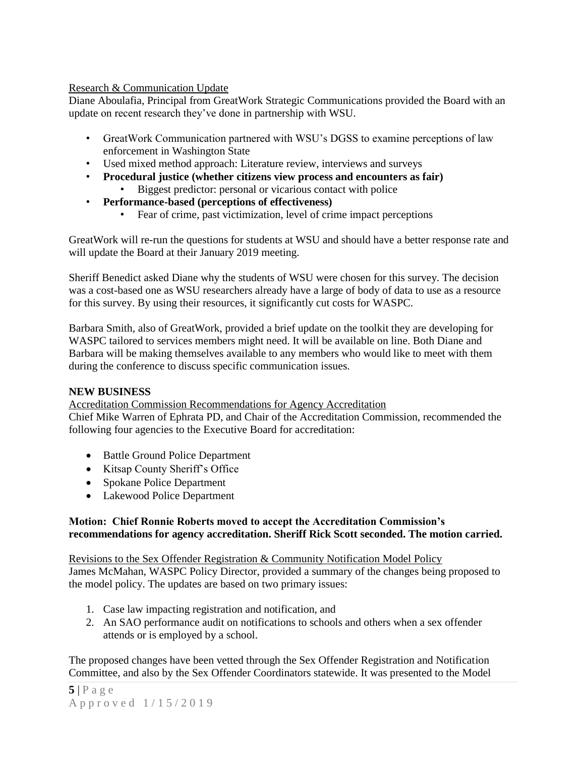### Research & Communication Update

Diane Aboulafia, Principal from GreatWork Strategic Communications provided the Board with an update on recent research they've done in partnership with WSU.

- GreatWork Communication partnered with WSU's DGSS to examine perceptions of law enforcement in Washington State
- Used mixed method approach: Literature review, interviews and surveys
- **Procedural justice (whether citizens view process and encounters as fair)** • Biggest predictor: personal or vicarious contact with police
- **Performance-based (perceptions of effectiveness)**
	- Fear of crime, past victimization, level of crime impact perceptions

GreatWork will re-run the questions for students at WSU and should have a better response rate and will update the Board at their January 2019 meeting.

Sheriff Benedict asked Diane why the students of WSU were chosen for this survey. The decision was a cost-based one as WSU researchers already have a large of body of data to use as a resource for this survey. By using their resources, it significantly cut costs for WASPC.

Barbara Smith, also of GreatWork, provided a brief update on the toolkit they are developing for WASPC tailored to services members might need. It will be available on line. Both Diane and Barbara will be making themselves available to any members who would like to meet with them during the conference to discuss specific communication issues.

### **NEW BUSINESS**

Accreditation Commission Recommendations for Agency Accreditation Chief Mike Warren of Ephrata PD, and Chair of the Accreditation Commission, recommended the following four agencies to the Executive Board for accreditation:

- Battle Ground Police Department
- Kitsap County Sheriff's Office
- Spokane Police Department
- Lakewood Police Department

# **Motion: Chief Ronnie Roberts moved to accept the Accreditation Commission's recommendations for agency accreditation. Sheriff Rick Scott seconded. The motion carried.**

Revisions to the Sex Offender Registration & Community Notification Model Policy

James McMahan, WASPC Policy Director, provided a summary of the changes being proposed to the model policy. The updates are based on two primary issues:

- 1. Case law impacting registration and notification, and
- 2. An SAO performance audit on notifications to schools and others when a sex offender attends or is employed by a school.

The proposed changes have been vetted through the Sex Offender Registration and Notification Committee, and also by the Sex Offender Coordinators statewide. It was presented to the Model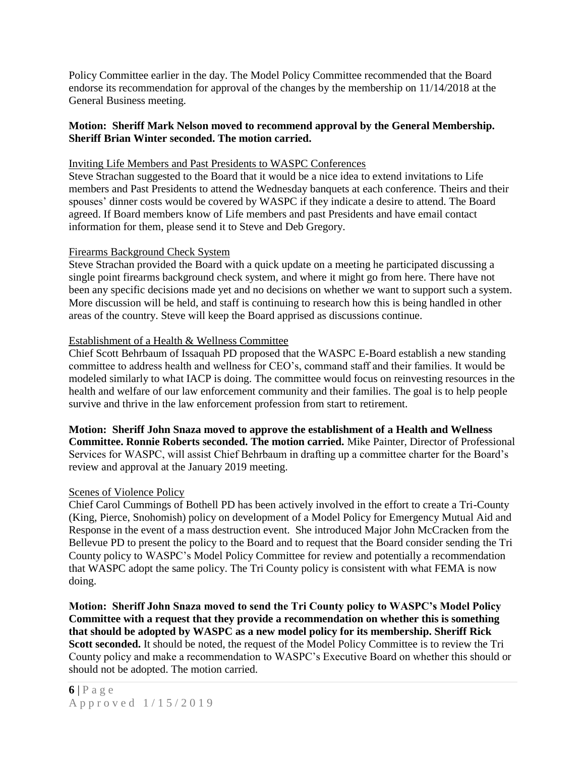Policy Committee earlier in the day. The Model Policy Committee recommended that the Board endorse its recommendation for approval of the changes by the membership on 11/14/2018 at the General Business meeting.

### **Motion: Sheriff Mark Nelson moved to recommend approval by the General Membership. Sheriff Brian Winter seconded. The motion carried.**

#### Inviting Life Members and Past Presidents to WASPC Conferences

Steve Strachan suggested to the Board that it would be a nice idea to extend invitations to Life members and Past Presidents to attend the Wednesday banquets at each conference. Theirs and their spouses' dinner costs would be covered by WASPC if they indicate a desire to attend. The Board agreed. If Board members know of Life members and past Presidents and have email contact information for them, please send it to Steve and Deb Gregory.

#### Firearms Background Check System

Steve Strachan provided the Board with a quick update on a meeting he participated discussing a single point firearms background check system, and where it might go from here. There have not been any specific decisions made yet and no decisions on whether we want to support such a system. More discussion will be held, and staff is continuing to research how this is being handled in other areas of the country. Steve will keep the Board apprised as discussions continue.

#### Establishment of a Health & Wellness Committee

Chief Scott Behrbaum of Issaquah PD proposed that the WASPC E-Board establish a new standing committee to address health and wellness for CEO's, command staff and their families. It would be modeled similarly to what IACP is doing. The committee would focus on reinvesting resources in the health and welfare of our law enforcement community and their families. The goal is to help people survive and thrive in the law enforcement profession from start to retirement.

**Motion: Sheriff John Snaza moved to approve the establishment of a Health and Wellness Committee. Ronnie Roberts seconded. The motion carried.** Mike Painter, Director of Professional Services for WASPC, will assist Chief Behrbaum in drafting up a committee charter for the Board's review and approval at the January 2019 meeting.

### Scenes of Violence Policy

Chief Carol Cummings of Bothell PD has been actively involved in the effort to create a Tri-County (King, Pierce, Snohomish) policy on development of a Model Policy for Emergency Mutual Aid and Response in the event of a mass destruction event. She introduced Major John McCracken from the Bellevue PD to present the policy to the Board and to request that the Board consider sending the Tri County policy to WASPC's Model Policy Committee for review and potentially a recommendation that WASPC adopt the same policy. The Tri County policy is consistent with what FEMA is now doing.

**Motion: Sheriff John Snaza moved to send the Tri County policy to WASPC's Model Policy Committee with a request that they provide a recommendation on whether this is something that should be adopted by WASPC as a new model policy for its membership. Sheriff Rick**  Scott seconded. It should be noted, the request of the Model Policy Committee is to review the Tri County policy and make a recommendation to WASPC's Executive Board on whether this should or should not be adopted. The motion carried.